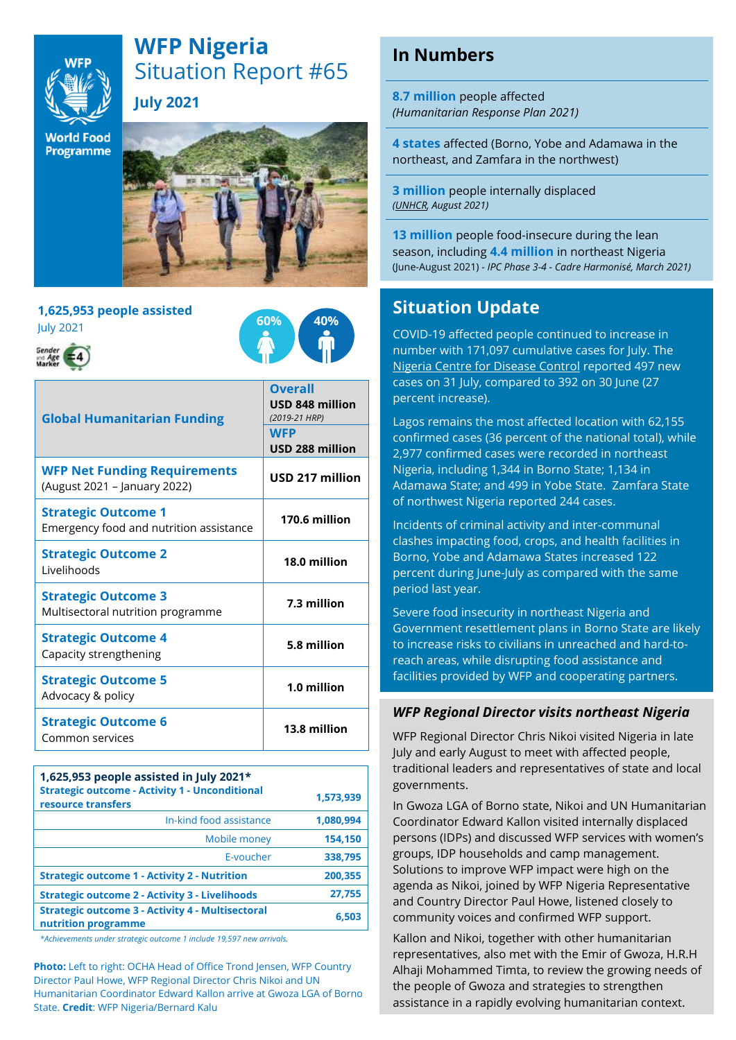

# **WFP Nigeria** Situation Report #65 **July 2021**

**World Food** Programme



#### **1,625,953 people assisted** July 2021





| <b>Global Humanitarian Funding</b>                                    | <b>Overall</b><br><b>USD 848 million</b><br>(2019-21 HRP) |
|-----------------------------------------------------------------------|-----------------------------------------------------------|
|                                                                       | <b>WFP</b><br>USD 288 million                             |
| <b>WFP Net Funding Requirements</b><br>(August 2021 - January 2022)   | USD 217 million                                           |
| <b>Strategic Outcome 1</b><br>Emergency food and nutrition assistance | 170.6 million                                             |
| <b>Strategic Outcome 2</b><br>Livelihoods                             | 18.0 million                                              |
| <b>Strategic Outcome 3</b><br>Multisectoral nutrition programme       | 7.3 million                                               |
| <b>Strategic Outcome 4</b><br>Capacity strengthening                  | 5.8 million                                               |
| <b>Strategic Outcome 5</b><br>Advocacy & policy                       | 1.0 million                                               |
| <b>Strategic Outcome 6</b><br>Common services                         | 13.8 million                                              |

| 1,625,953 people assisted in July 2021 $*$<br><b>Strategic outcome - Activity 1 - Unconditional</b><br>resource transfers | 1,573,939 |
|---------------------------------------------------------------------------------------------------------------------------|-----------|
| In-kind food assistance                                                                                                   | 1,080,994 |
| Mobile money                                                                                                              | 154,150   |
| E-voucher                                                                                                                 | 338,795   |
| <b>Strategic outcome 1 - Activity 2 - Nutrition</b>                                                                       | 200,355   |
| <b>Strategic outcome 2 - Activity 3 - Livelihoods</b>                                                                     | 27,755    |
| <b>Strategic outcome 3 - Activity 4 - Multisectoral</b><br>nutrition programme                                            | 6.503     |

*\*Achievements under strategic outcome 1 include 19,597 new arrivals.*

**Photo:** Left to right: OCHA Head of Office Trond Jensen, WFP Country Director Paul Howe, WFP Regional Director Chris Nikoi and UN Humanitarian Coordinator Edward Kallon arrive at Gwoza LGA of Borno State. **Credit**: WFP Nigeria/Bernard Kalu

## **In Numbers**

**8.7 million** people affected *(Humanitarian Response Plan 2021)*

**4 states** affected (Borno, Yobe and Adamawa in the northeast, and Zamfara in the northwest)

**3 million** people internally displaced *[\(UNHCR,](https://data2.unhcr.org/en/country/nga) August 2021)*

**13 million** people food-insecure during the lean season, including **4.4 million** in northeast Nigeria (June-August 2021) - *IPC Phase 3-4 - Cadre Harmonisé, March 2021)*

### **Situation Update**

COVID-19 affected people continued to increase in number with 171,097 cumulative cases for July. The [Nigeria Centre for Disease Control](https://covid19.ncdc.gov.ng/state/) reported 497 new cases on 31 July, compared to 392 on 30 June (27 percent increase).

Lagos remains the most affected location with 62,155 confirmed cases (36 percent of the national total), while 2,977 confirmed cases were recorded in northeast Nigeria, including 1,344 in Borno State; 1,134 in Adamawa State; and 499 in Yobe State. Zamfara State of northwest Nigeria reported 244 cases.

Incidents of criminal activity and inter-communal clashes impacting food, crops, and health facilities in Borno, Yobe and Adamawa States increased 122 percent during June-July as compared with the same period last year.

Severe food insecurity in northeast Nigeria and Government resettlement plans in Borno State are likely to increase risks to civilians in unreached and hard-toreach areas, while disrupting food assistance and facilities provided by WFP and cooperating partners.

#### *WFP Regional Director visits northeast Nigeria*

WFP Regional Director Chris Nikoi visited Nigeria in late July and early August to meet with affected people, traditional leaders and representatives of state and local governments.

In Gwoza LGA of Borno state, Nikoi and UN Humanitarian Coordinator Edward Kallon visited internally displaced persons (IDPs) and discussed WFP services with women's groups, IDP households and camp management. Solutions to improve WFP impact were high on the agenda as Nikoi, joined by WFP Nigeria Representative and Country Director Paul Howe, listened closely to community voices and confirmed WFP support.

Kallon and Nikoi, together with other humanitarian representatives, also met with the Emir of Gwoza, H.R.H Alhaji Mohammed Timta, to review the growing needs of the people of Gwoza and strategies to strengthen assistance in a rapidly evolving humanitarian context.